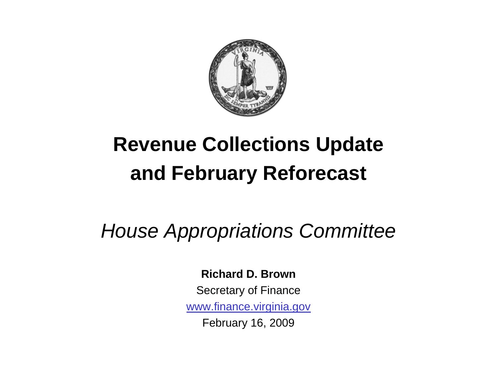

# **Revenue Collections Update and February Reforecast**

*House Appropriations Committee*

**Richard D. Brown**

Secretary of Finance

www.finance.virginia.gov

February 16, 2009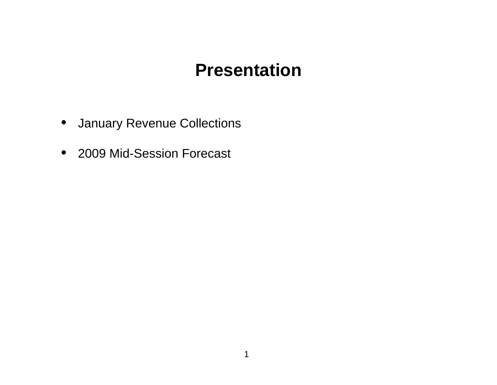# **Presentation**

- January Revenue Collections
- 2009 Mid-Session Forecast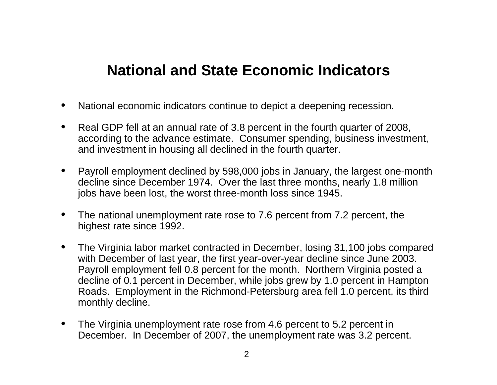## **National and State Economic Indicators**

- •National economic indicators continue to depict a deepening recession.
- $\bullet$  Real GDP fell at an annual rate of 3.8 percent in the fourth quarter of 2008, according to the advance estimate. Consumer spending, business investment, and investment in housing all declined in the fourth quarter.
- $\bullet$  Payroll employment declined by 598,000 jobs in January, the largest one-month decline since December 1974. Over the last three months, nearly 1.8 million jobs have been lost, the worst three-month loss since 1945.
- • The national unemployment rate rose to 7.6 percent from 7.2 percent, the highest rate since 1992.
- $\bullet$  The Virginia labor market contracted in December, losing 31,100 jobs compared with December of last year, the first year-over-year decline since June 2003. Payroll employment fell 0.8 percent for the month. Northern Virginia posted a decline of 0.1 percent in December, while jobs grew by 1.0 percent in Hampton Roads. Employment in the Richmond-Petersburg area fell 1.0 percent, its third monthly decline.
- • The Virginia unemployment rate rose from 4.6 percent to 5.2 percent in December. In December of 2007, the unemployment rate was 3.2 percent.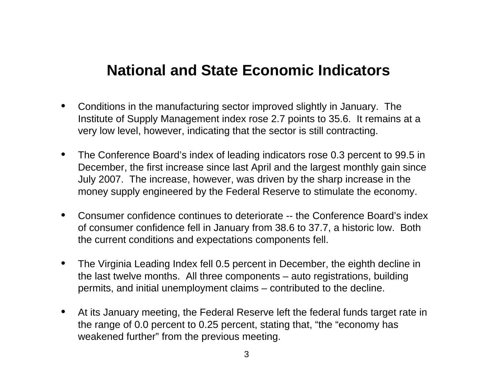### **National and State Economic Indicators**

- • Conditions in the manufacturing sector improved slightly in January. The Institute of Supply Management index rose 2.7 points to 35.6. It remains at a very low level, however, indicating that the sector is still contracting.
- $\bullet$  The Conference Board's index of leading indicators rose 0.3 percent to 99.5 in December, the first increase since last April and the largest monthly gain since July 2007. The increase, however, was driven by the sharp increase in the money supply engineered by the Federal Reserve to stimulate the economy.
- • Consumer confidence continues to deteriorate -- the Conference Board's index of consumer confidence fell in January from 38.6 to 37.7, a historic low. Both the current conditions and expectations components fell.
- $\bullet$  The Virginia Leading Index fell 0.5 percent in December, the eighth decline in the last twelve months. All three components – auto registrations, building permits, and initial unemployment claims – contributed to the decline.
- • At its January meeting, the Federal Reserve left the federal funds target rate in the range of 0.0 percent to 0.25 percent, stating that, "the "economy has weakened further" from the previous meeting.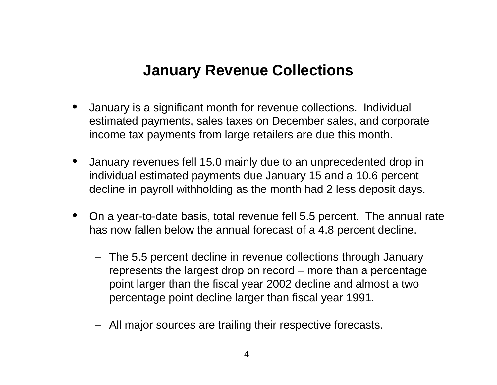## **January Revenue Collections**

- • January is a significant month for revenue collections. Individual estimated payments, sales taxes on December sales, and corporate income tax payments from large retailers are due this month.
- • January revenues fell 15.0 mainly due to an unprecedented drop in individual estimated payments due January 15 and a 10.6 percent decline in payroll withholding as the month had 2 less deposit days.
- • On a year-to-date basis, total revenue fell 5.5 percent. The annual rate has now fallen below the annual forecast of a 4.8 percent decline.
	- The 5.5 percent decline in revenue collections through January represents the largest drop on record – more than a percentage point larger than the fiscal year 2002 decline and almost a two percentage point decline larger than fiscal year 1991.
	- All major sources are trailing their respective forecasts.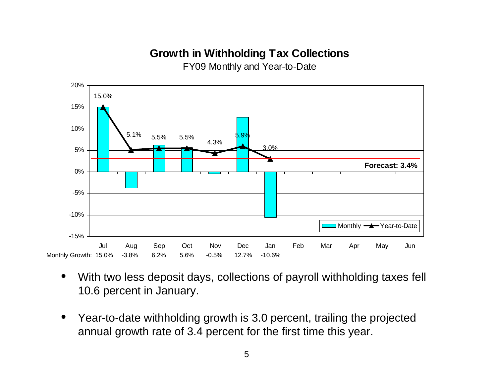#### **Growth in Withholding Tax Collections**

FY09 Monthly and Year-to-Date



- • With two less deposit days, collections of payroll withholding taxes fell 10.6 percent in January.
- $\bullet$  Year-to-date withholding growth is 3.0 percent, trailing the projected annual growth rate of 3.4 percent for the first time this year.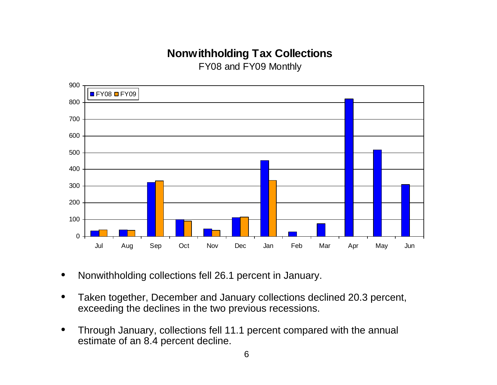#### **Nonwithholding Tax Collections**

FY08 and FY09 Monthly



- •Nonwithholding collections fell 26.1 percent in January.
- • Taken together, December and January collections declined 20.3 percent, exceeding the declines in the two previous recessions.
- • Through January, collections fell 11.1 percent compared with the annual estimate of an 8.4 percent decline.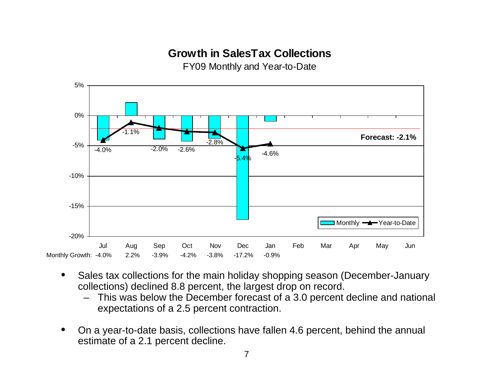#### **Growth in SalesTax Collections**

FY09 Monthly and Year-to-Date



- • Sales tax collections for the main holiday shopping season (December-January collections) declined 8.8 percent, the largest drop on record.
	- – This was below the December forecast of a 3.0 percent decline and national expectations of a 2.5 percent contraction.
- • On a year-to-date basis, collections have fallen 4.6 percent, behind the annual estimate of a 2.1 percent decline.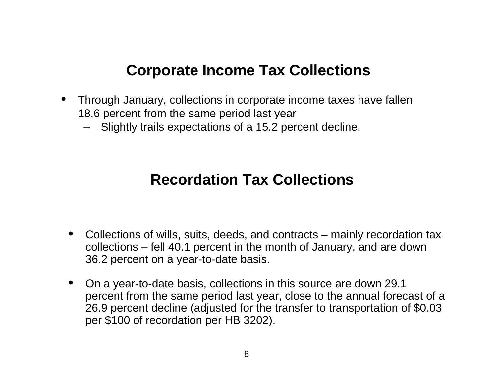#### **Corporate Income Tax Collections**

- $\bullet$  Through January, collections in corporate income taxes have fallen 18.6 percent from the same period last year
	- Slightly trails expectations of a 15.2 percent decline.

#### **Recordation Tax Collections**

- • Collections of wills, suits, deeds, and contracts – mainly recordation tax collections – fell 40.1 percent in the month of January, and are down 36.2 percent on a year-to-date basis.
- • On a year-to-date basis, collections in this source are down 29.1 percent from the same period last year, close to the annual forecast of a 26.9 percent decline (adjusted for the transfer to transportation of \$0.03 per \$100 of recordation per HB 3202).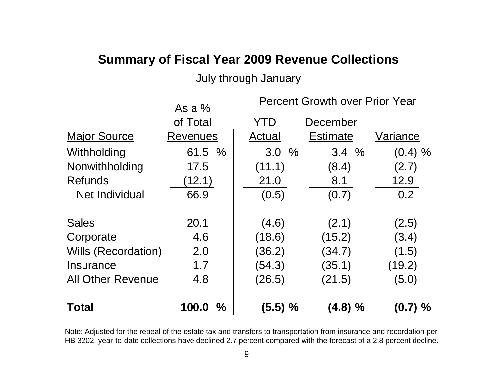#### **Summary of Fiscal Year 2009 Revenue Collections**

July through January

|                          | As a $%$        | <b>Percent Growth over Prior Year</b> |                 |            |  |
|--------------------------|-----------------|---------------------------------------|-----------------|------------|--|
|                          | of Total        | YTD                                   | December        |            |  |
| <b>Major Source</b>      | <b>Revenues</b> | Actual                                | <b>Estimate</b> | Variance   |  |
| Withholding              | 61.5 %          | 3.0%                                  | 3.4%            | $(0.4) \%$ |  |
| Nonwithholding           | 17.5            | (11.1)                                | (8.4)           | (2.7)      |  |
| <b>Refunds</b>           | (12.1)          | 21.0                                  | 8.1             | 12.9       |  |
| Net Individual           | 66.9            | (0.5)                                 | (0.7)           | 0.2        |  |
| <b>Sales</b>             | 20.1            | (4.6)                                 | (2.1)           | (2.5)      |  |
| Corporate                | 4.6             | (18.6)                                | (15.2)          | (3.4)      |  |
| Wills (Recordation)      | 2.0             | (36.2)                                | (34.7)          | (1.5)      |  |
| Insurance                | 1.7             | (54.3)                                | (35.1)          | (19.2)     |  |
| <b>All Other Revenue</b> | 4.8             | (26.5)                                | (21.5)          | (5.0)      |  |
| <b>Total</b>             | 100.0<br>$\%$   | $(5.5) \%$                            | (4.8)%          | $(0.7) \%$ |  |

Note: Adjusted for the repeal of the estate tax and transfers to transportation from insurance and recordation per HB 3202, year-to-date collections have declined 2.7 percent compared with the forecast of a 2.8 percent decline.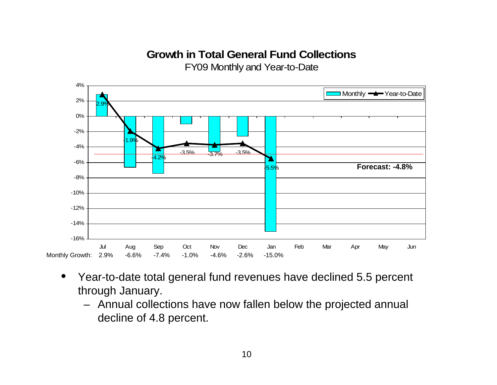### **Growth in Total General Fund Collections**

FY09 Monthly and Year-to-Date



- • Year-to-date total general fund revenues have declined 5.5 percent through January.
	- Annual collections have now fallen below the projected annual decline of 4.8 percent.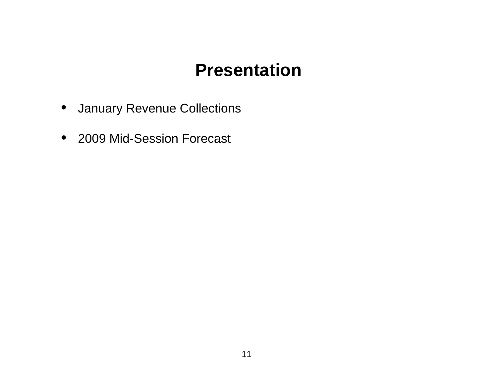# **Presentation**

- January Revenue Collections
- 2009 Mid-Session Forecast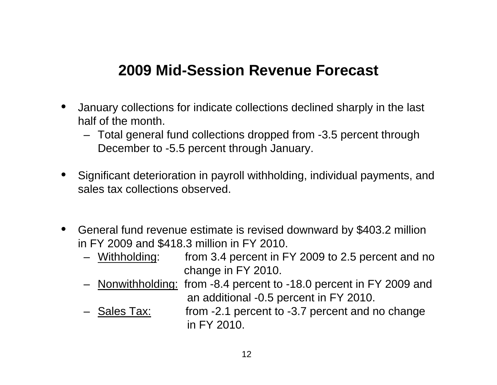## **2009 Mid-Session Revenue Forecast**

- $\bullet$  January collections for indicate collections declined sharply in the last half of the month.
	- Total general fund collections dropped from -3.5 percent through December to -5.5 percent through January.
- • Significant deterioration in payroll withholding, individual payments, and sales tax collections observed.
- $\bullet$  General fund revenue estimate is revised downward by \$403.2 million in FY 2009 and \$418.3 million in FY 2010.
	- Withholding: from 3.4 percent in FY 2009 to 2.5 percent and no change in FY 2010.
	- –Nonwithholding: from -8.4 percent to -18.0 percent in FY 2009 and
	- an additional -0.5 percent in FY 2010. - Sales Tax: from  $-2.1$  percent to  $-3.7$  percent and no change in FY 2010.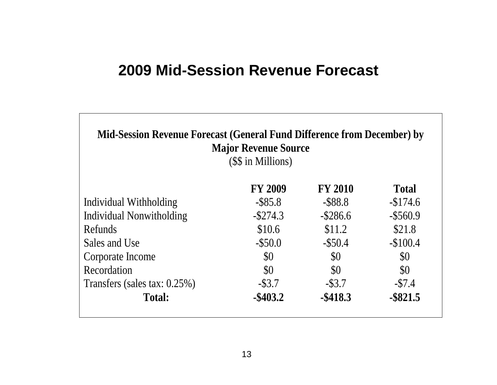#### **2009 Mid-Session Revenue Forecast**

| Mid-Session Revenue Forecast (General Fund Difference from December) by<br><b>Major Revenue Source</b><br>(\$\$ in Millions) |                |                |                           |  |  |  |
|------------------------------------------------------------------------------------------------------------------------------|----------------|----------------|---------------------------|--|--|--|
|                                                                                                                              | <b>FY 2009</b> | <b>FY 2010</b> | <b>Total</b>              |  |  |  |
| Individual Withholding                                                                                                       | $-$ \$85.8     | $-$ \$88.8     | $-$174.6$                 |  |  |  |
| Individual Nonwitholding                                                                                                     | $-$ \$274.3    | $-$ \$286.6    | $-$ \$560.9               |  |  |  |
| Refunds                                                                                                                      | \$10.6         | \$11.2         | \$21.8                    |  |  |  |
| Sales and Use                                                                                                                | $-$ \$50.0     | $-$ \$50.4     | $-$100.4$                 |  |  |  |
| Corporate Income                                                                                                             | $\$0$          | $\$0$          | $\$0$                     |  |  |  |
| Recordation                                                                                                                  | \$0            | $\$0$          | $\boldsymbol{\mathsf{S}}$ |  |  |  |
| Transfers (sales tax: 0.25%)                                                                                                 | $-$ \$3.7      | $-$ \$3.7      | $-$7.4$                   |  |  |  |
| <b>Total:</b>                                                                                                                | $-$ \$403.2    | $-$ \$418.3    | $-$ \$821.5               |  |  |  |